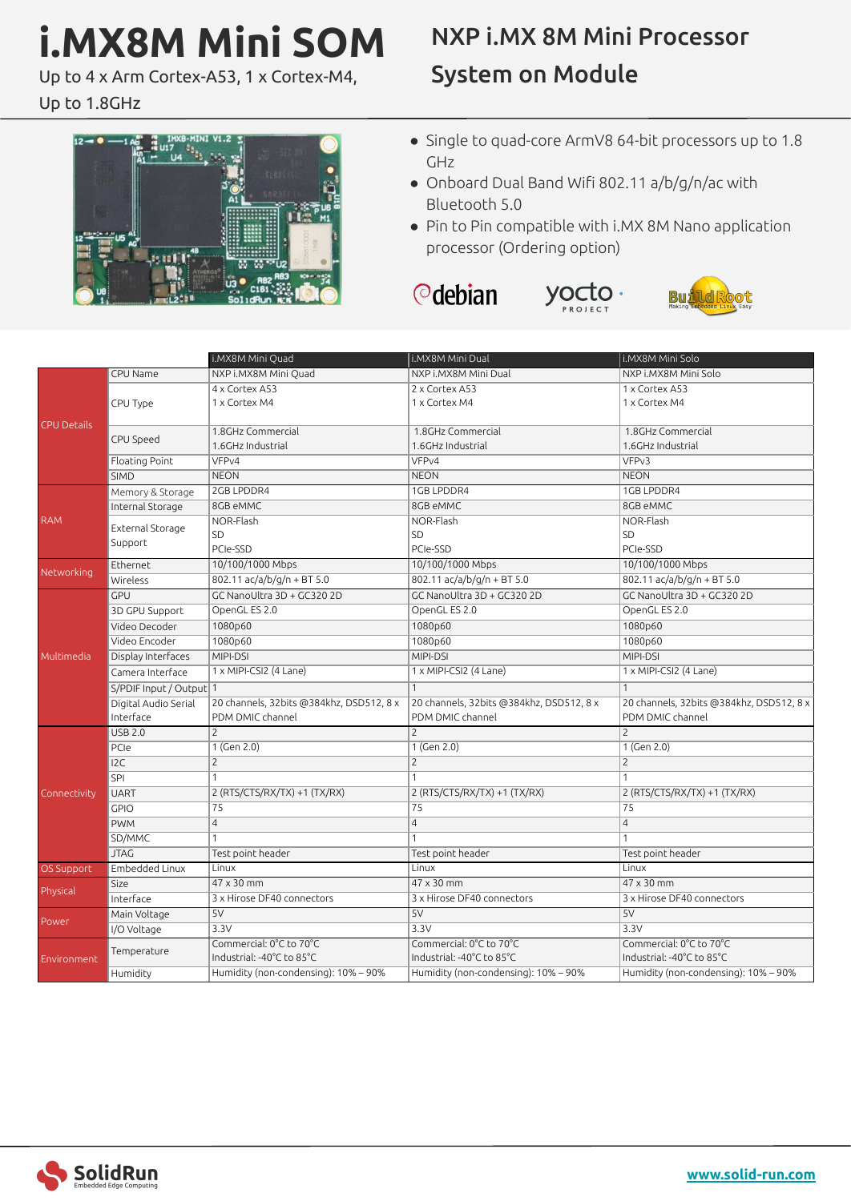# **i.MX8M Mini SOM**

Up to 4 x Arm Cortex-A53, 1 x Cortex-M4,

### Up to 1.8GHz

# NXP i.MX 8M Mini Processor System on Module



- Single to quad-core ArmV8 64-bit processors up to 1.8 GHz
- Onboard Dual Band Wifi 802.11 a/b/g/n/ac with Bluetooth 5.0

yocto

● Pin to Pin compatible with i.MX 8M Nano application processor (Ordering option)





|                    |                         | i.MX8M Mini Quad                         | <b>I.MX8M Mini Dual</b>                  | i.MX8M Mini Solo                         |
|--------------------|-------------------------|------------------------------------------|------------------------------------------|------------------------------------------|
|                    | CPU Name                | NXP i.MX8M Mini Quad                     | NXP i.MX8M Mini Dual                     | NXP i.MX8M Mini Solo                     |
|                    |                         | 4 x Cortex A53                           | 2 x Cortex A53                           | 1 x Cortex A53                           |
|                    | CPU Type                | 1 x Cortex M4                            | 1 x Cortex M4                            | 1 x Cortex M4                            |
| <b>CPU Details</b> |                         |                                          |                                          |                                          |
|                    |                         | 1.8GHz Commercial                        | 1.8GHz Commercial                        | 1.8GHz Commercial                        |
|                    | CPU Speed               | 1.6GHz Industrial                        | 1.6GHz Industrial                        | 1.6GHz Industrial                        |
|                    | Floating Point          | VFP <sub>v4</sub>                        | VFP <sub>v4</sub>                        | VFP <sub>v3</sub>                        |
|                    | <b>SIMD</b>             | <b>NEON</b>                              | <b>NEON</b>                              | <b>NEON</b>                              |
| <b>RAM</b>         | Memory & Storage        | 2GB LPDDR4                               | 1GB LPDDR4                               | 1GB LPDDR4                               |
|                    | Internal Storage        | 8GB eMMC                                 | 8GB eMMC                                 | 8GB eMMC                                 |
|                    | External Storage        | NOR-Flash                                | NOR-Flash                                | NOR-Flash                                |
|                    | Support                 | SD                                       | <b>SD</b>                                | SD                                       |
|                    |                         | PCIe-SSD                                 | PCIe-SSD                                 | PCIe-SSD                                 |
| Networking         | Ethernet                | 10/100/1000 Mbps                         | 10/100/1000 Mbps                         | 10/100/1000 Mbps                         |
|                    | Wireless                | 802.11 ac/a/b/g/n + BT 5.0               | 802.11 ac/a/b/g/n + BT 5.0               | 802.11 ac/a/b/g/n + BT 5.0               |
|                    | <b>GPU</b>              | GC NanoUltra 3D + GC320 2D               | GC NanoUltra 3D + GC320 2D               | GC NanoUltra 3D + GC320 2D               |
|                    | 3D GPU Support          | OpenGL ES 2.0                            | OpenGL ES 2.0                            | OpenGL ES 2.0                            |
|                    | Video Decoder           | 1080p60                                  | 1080p60                                  | 1080p60                                  |
|                    | Video Encoder           | 1080p60                                  | 1080p60                                  | 1080p60                                  |
| Multimedia         | Display Interfaces      | MIPI-DSI                                 | MIPI-DSI                                 | MIPI-DSI                                 |
|                    | Camera Interface        | 1 x MIPI-CSI2 (4 Lane)                   | 1 x MIPI-CSI2 (4 Lane)                   | 1 x MIPI-CSI2 (4 Lane)                   |
|                    | S/PDIF Input / Output 1 |                                          | $\mathbf{1}$                             | $\mathbf{1}$                             |
|                    | Digital Audio Serial    | 20 channels, 32bits @384khz, DSD512, 8 x | 20 channels, 32bits @384khz, DSD512, 8 x | 20 channels, 32bits @384khz, DSD512, 8 x |
|                    | Interface               | PDM DMIC channel                         | PDM DMIC channel                         | PDM DMIC channel                         |
|                    | <b>USB 2.0</b>          | $\overline{c}$                           | $\overline{2}$                           | $\overline{2}$                           |
| Connectivity       | PCIe                    | $1$ (Gen 2.0)                            | $1$ (Gen 2.0)                            | $1$ (Gen 2.0)                            |
|                    | 12C                     | $\overline{c}$                           | $\overline{2}$                           | $\overline{c}$                           |
|                    | SPI                     | 1                                        | $\mathbf{1}$                             | $\mathbf{1}$                             |
|                    | <b>UART</b>             | 2 (RTS/CTS/RX/TX) +1 (TX/RX)             | 2 (RTS/CTS/RX/TX) +1 (TX/RX)             | 2 (RTS/CTS/RX/TX) +1 (TX/RX)             |
|                    | <b>GPIO</b>             | 75                                       | 75                                       | 75                                       |
|                    | <b>PWM</b>              | $\overline{4}$                           | $\overline{4}$                           | $\overline{4}$                           |
|                    | SD/MMC                  |                                          | $\mathbf{1}$                             | $\mathbf{1}$                             |
|                    | <b>JTAG</b>             | Test point header                        | Test point header                        | Test point header                        |
| OS Support         | Embedded Linux          | Linux                                    | Linux                                    | Linux                                    |
| Physical           | Size                    | 47 x 30 mm                               | 47 x 30 mm                               | 47 x 30 mm                               |
|                    | Interface               | 3 x Hirose DF40 connectors               | 3 x Hirose DF40 connectors               | 3 x Hirose DF40 connectors               |
| Power              | Main Voltage            | 5V                                       | 5V                                       | 5V                                       |
|                    | I/O Voltage             | 3.3V                                     | 3.3V                                     | 3.3V                                     |
| Environment        | Temperature             | Commercial: 0°C to 70°C                  | Commercial: 0°C to 70°C                  | Commercial: 0°C to 70°C                  |
|                    |                         | Industrial: -40°C to 85°C                | Industrial: -40°C to 85°C                | Industrial: -40°C to 85°C                |
|                    | Humidity                | Humidity (non-condensing): 10% – 90%     | Humidity (non-condensing): 10% - 90%     | Humidity (non-condensing): 10% – 90%     |